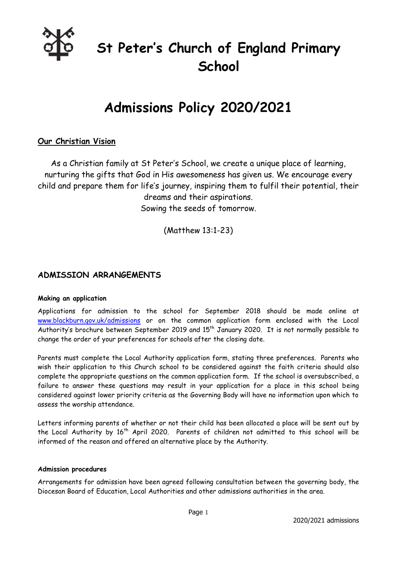

# **St Peter's Church of England Primary School**

# **Admissions Policy 2020/2021**

### **Our Christian Vision**

As a Christian family at St Peter's School, we create a unique place of learning, nurturing the gifts that God in His awesomeness has given us. We encourage every child and prepare them for life's journey, inspiring them to fulfil their potential, their dreams and their aspirations. Sowing the seeds of tomorrow.

(Matthew 13:1-23)

### **ADMISSION ARRANGEMENTS**

#### **Making an application**

Applications for admission to the school for September 2018 should be made online at [www.blackburn.gov.uk/admissions](http://www.blackburn.gov.uk/admissions) or on the common application form enclosed with the Local Authority's brochure between September 2019 and 15<sup>th</sup> January 2020. It is not normally possible to change the order of your preferences for schools after the closing date.

Parents must complete the Local Authority application form, stating three preferences. Parents who wish their application to this Church school to be considered against the faith criteria should also complete the appropriate questions on the common application form. If the school is oversubscribed, a failure to answer these questions may result in your application for a place in this school being considered against lower priority criteria as the Governing Body will have no information upon which to assess the worship attendance.

Letters informing parents of whether or not their child has been allocated a place will be sent out by the Local Authority by 16<sup>th</sup> April 2020. Parents of children not admitted to this school will be informed of the reason and offered an alternative place by the Authority.

#### **Admission procedures**

Arrangements for admission have been agreed following consultation between the governing body, the Diocesan Board of Education, Local Authorities and other admissions authorities in the area.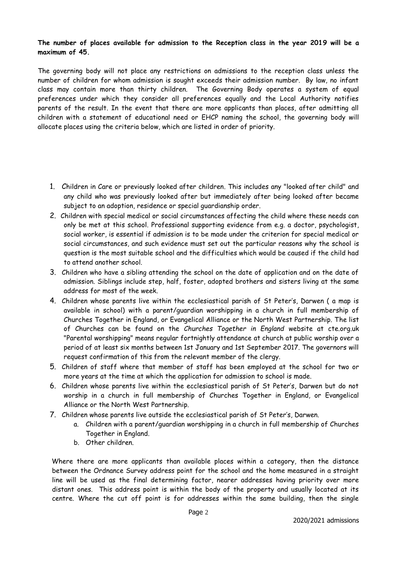#### **The number of places available for admission to the Reception class in the year 2019 will be a maximum of 45.**

The governing body will not place any restrictions on admissions to the reception class unless the number of children for whom admission is sought exceeds their admission number. By law, no infant class may contain more than thirty children. The Governing Body operates a system of equal preferences under which they consider all preferences equally and the Local Authority notifies parents of the result. In the event that there are more applicants than places, after admitting all children with a statement of educational need or EHCP naming the school, the governing body will allocate places using the criteria below, which are listed in order of priority.

- 1. Children in Care or previously looked after children. This includes any "looked after child" and any child who was previously looked after but immediately after being looked after became subject to an adoption, residence or special guardianship order.
- 2. Children with special medical or social circumstances affecting the child where these needs can only be met at this school. Professional supporting evidence from e.g. a doctor, psychologist, social worker, is essential if admission is to be made under the criterion for special medical or social circumstances, and such evidence must set out the particular reasons why the school is question is the most suitable school and the difficulties which would be caused if the child had to attend another school.
- 3. Children who have a sibling attending the school on the date of application and on the date of admission. Siblings include step, half, foster, adopted brothers and sisters living at the same address for most of the week.
- 4. Children whose parents live within the ecclesiastical parish of St Peter's, Darwen ( a map is available in school) with a parent/guardian worshipping in a church in full membership of Churches Together in England, or Evangelical Alliance or the North West Partnership. The list of Churches can be found on the *Churches Together in England* website at cte.org.uk "Parental worshipping" means regular fortnightly attendance at church at public worship over a period of at least six months between 1st January and 1st September 2017. The governors will request confirmation of this from the relevant member of the clergy.
- 5. Children of staff where that member of staff has been employed at the school for two or more years at the time at which the application for admission to school is made.
- 6. Children whose parents live within the ecclesiastical parish of St Peter's, Darwen but do not worship in a church in full membership of Churches Together in England, or Evangelical Alliance or the North West Partnership.
- 7. Children whose parents live outside the ecclesiastical parish of St Peter's, Darwen.
	- a. Children with a parent/guardian worshipping in a church in full membership of Churches Together in England.
	- b. Other children.

 Where there are more applicants than available places within a category, then the distance between the Ordnance Survey address point for the school and the home measured in a straight line will be used as the final determining factor, nearer addresses having priority over more distant ones. This address point is within the body of the property and usually located at its centre. Where the cut off point is for addresses within the same building, then the single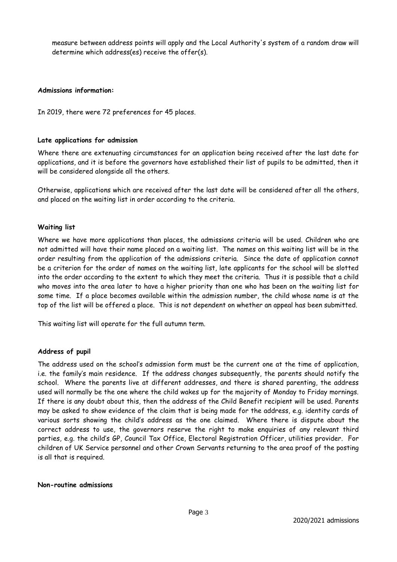measure between address points will apply and the Local Authority's system of a random draw will determine which address(es) receive the offer(s).

#### **Admissions information:**

In 2019, there were 72 preferences for 45 places.

#### **Late applications for admission**

Where there are extenuating circumstances for an application being received after the last date for applications, and it is before the governors have established their list of pupils to be admitted, then it will be considered alongside all the others.

Otherwise, applications which are received after the last date will be considered after all the others, and placed on the waiting list in order according to the criteria.

#### **Waiting list**

Where we have more applications than places, the admissions criteria will be used. Children who are not admitted will have their name placed on a waiting list. The names on this waiting list will be in the order resulting from the application of the admissions criteria. Since the date of application cannot be a criterion for the order of names on the waiting list, late applicants for the school will be slotted into the order according to the extent to which they meet the criteria. Thus it is possible that a child who moves into the area later to have a higher priority than one who has been on the waiting list for some time. If a place becomes available within the admission number, the child whose name is at the top of the list will be offered a place. This is not dependent on whether an appeal has been submitted.

This waiting list will operate for the full autumn term.

#### **Address of pupil**

The address used on the school's admission form must be the current one at the time of application, i.e. the family's main residence. If the address changes subsequently, the parents should notify the school. Where the parents live at different addresses, and there is shared parenting, the address used will normally be the one where the child wakes up for the majority of Monday to Friday mornings. If there is any doubt about this, then the address of the Child Benefit recipient will be used. Parents may be asked to show evidence of the claim that is being made for the address, e.g. identity cards of various sorts showing the child's address as the one claimed. Where there is dispute about the correct address to use, the governors reserve the right to make enquiries of any relevant third parties, e.g. the child's GP, Council Tax Office, Electoral Registration Officer, utilities provider. For children of UK Service personnel and other Crown Servants returning to the area proof of the posting is all that is required.

#### **Non-routine admissions**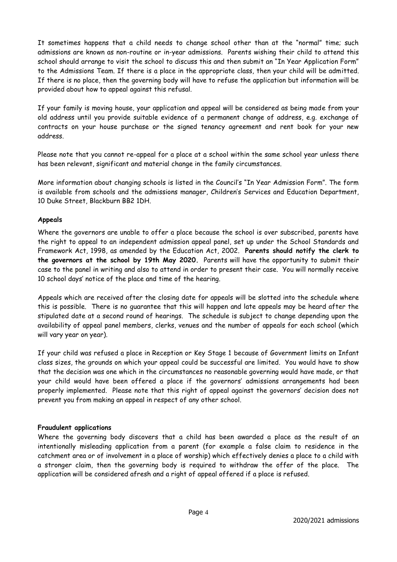It sometimes happens that a child needs to change school other than at the "normal" time; such admissions are known as non-routine or in-year admissions. Parents wishing their child to attend this school should arrange to visit the school to discuss this and then submit an "In Year Application Form" to the Admissions Team. If there is a place in the appropriate class, then your child will be admitted. If there is no place, then the governing body will have to refuse the application but information will be provided about how to appeal against this refusal.

If your family is moving house, your application and appeal will be considered as being made from your old address until you provide suitable evidence of a permanent change of address, e.g. exchange of contracts on your house purchase or the signed tenancy agreement and rent book for your new address.

Please note that you cannot re-appeal for a place at a school within the same school year unless there has been relevant, significant and material change in the family circumstances.

More information about changing schools is listed in the Council's "In Year Admission Form". The form is available from schools and the admissions manager, Children's Services and Education Department, 10 Duke Street, Blackburn BB2 1DH.

#### **Appeals**

Where the governors are unable to offer a place because the school is over subscribed, parents have the right to appeal to an independent admission appeal panel, set up under the School Standards and Framework Act, 1998, as amended by the Education Act, 2002. **Parents should notify the clerk to the governors at the school by 19th May 2020.** Parents will have the opportunity to submit their case to the panel in writing and also to attend in order to present their case. You will normally receive 10 school days' notice of the place and time of the hearing.

Appeals which are received after the closing date for appeals will be slotted into the schedule where this is possible. There is no guarantee that this will happen and late appeals may be heard after the stipulated date at a second round of hearings. The schedule is subject to change depending upon the availability of appeal panel members, clerks, venues and the number of appeals for each school (which will vary year on year).

If your child was refused a place in Reception or Key Stage 1 because of Government limits on Infant class sizes, the grounds on which your appeal could be successful are limited. You would have to show that the decision was one which in the circumstances no reasonable governing would have made, or that your child would have been offered a place if the governors' admissions arrangements had been properly implemented. Please note that this right of appeal against the governors' decision does not prevent you from making an appeal in respect of any other school.

#### **Fraudulent applications**

Where the governing body discovers that a child has been awarded a place as the result of an intentionally misleading application from a parent (for example a false claim to residence in the catchment area or of involvement in a place of worship) which effectively denies a place to a child with a stronger claim, then the governing body is required to withdraw the offer of the place. The application will be considered afresh and a right of appeal offered if a place is refused.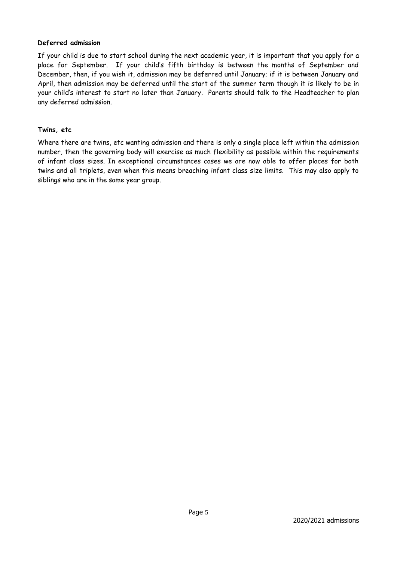#### **Deferred admission**

If your child is due to start school during the next academic year, it is important that you apply for a place for September. If your child's fifth birthday is between the months of September and December, then, if you wish it, admission may be deferred until January; if it is between January and April, then admission may be deferred until the start of the summer term though it is likely to be in your child's interest to start no later than January. Parents should talk to the Headteacher to plan any deferred admission.

#### **Twins, etc**

Where there are twins, etc wanting admission and there is only a single place left within the admission number, then the governing body will exercise as much flexibility as possible within the requirements of infant class sizes. In exceptional circumstances cases we are now able to offer places for both twins and all triplets, even when this means breaching infant class size limits. This may also apply to siblings who are in the same year group.